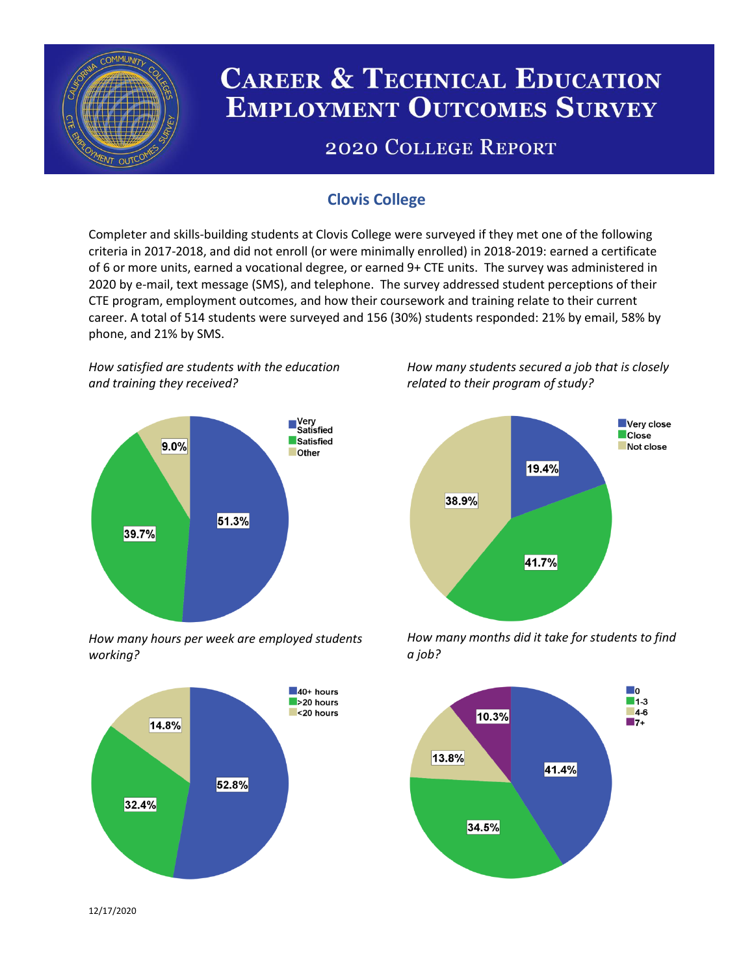

# **CAREER & TECHNICAL EDUCATION EMPLOYMENT OUTCOMES SURVEY**

## **2020 COLLEGE REPORT**

### **Clovis College**

Completer and skills-building students at Clovis College were surveyed if they met one of the following criteria in 2017-2018, and did not enroll (or were minimally enrolled) in 2018-2019: earned a certificate of 6 or more units, earned a vocational degree, or earned 9+ CTE units. The survey was administered in 2020 by e-mail, text message (SMS), and telephone. The survey addressed student perceptions of their CTE program, employment outcomes, and how their coursework and training relate to their current career. A total of 514 students were surveyed and 156 (30%) students responded: 21% by email, 58% by phone, and 21% by SMS.

*How satisfied are students with the education and training they received?*



*How many hours per week are employed students working?*



*How many students secured a job that is closely related to their program of study?*



*How many months did it take for students to find a job?*



12/17/2020